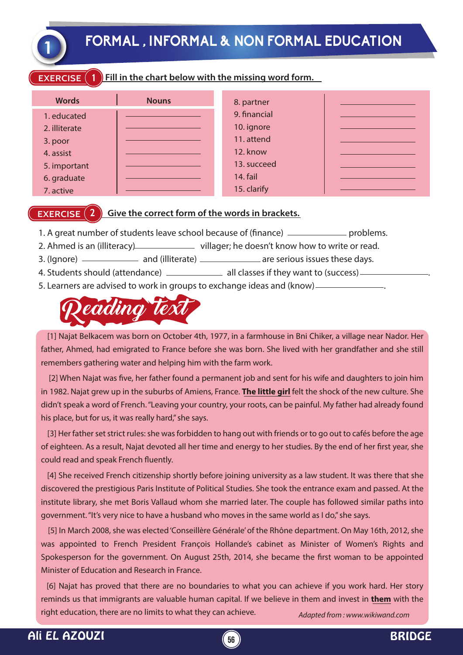**1 FORMAL , INFORMAL & NON FORMAL EDUCATION**

### **EXERCISE** (1) Fill in the chart below with the missing word form.

| <b>Words</b>  | <b>Nouns</b> | 8. partner      |  |
|---------------|--------------|-----------------|--|
| 1. educated   |              | 9. financial    |  |
| 2. illiterate |              | 10. ignore      |  |
| 3. poor       |              | 11. attend      |  |
| 4. assist     |              | 12. know        |  |
| 5. important  |              | 13. succeed     |  |
| 6. graduate   |              | <b>14. fail</b> |  |
| 7. active     |              | 15. clarify     |  |

### **EXERCISE (2) Give the correct form of the words in brackets.**

- 1. A great number of students leave school because of (finance) \_\_\_\_\_\_\_\_\_\_\_\_\_\_\_ problems.
- 2. Ahmed is an (illiteracy) villager; he doesn't know how to write or read.
- 3. (Ignore) ——————— and (illiterate) ——————— are serious issues these days.
- 4. Students should (attendance) \_\_\_\_\_\_\_\_\_\_\_\_\_\_\_ all classes if they want to (success) \_\_\_
- 5. Learners are advised to work in groups to exchange ideas and (know) .



 [1] Najat Belkacem was born on October 4th, 1977, in a farmhouse in Bni Chiker, a village near Nador. Her father, Ahmed, had emigrated to France before she was born. She lived with her grandfather and she still remembers gathering water and helping him with the farm work.

[2] When Najat was five, her father found a permanent job and sent for his wife and daughters to join him in 1982. Najat grew up in the suburbs of Amiens, France. **The little girl** felt the shock of the new culture. She didn't speak a word of French. "Leaving your country, your roots, can be painful. My father had already found his place, but for us, it was really hard," she says.

 [3] Her father set strict rules: she was forbidden to hang out with friends or to go out to cafés before the age of eighteen. As a result, Najat devoted all her time and energy to her studies. By the end of her first year, she could read and speak French fluently.

 [4] She received French citizenship shortly before joining university as a law student. It was there that she discovered the prestigious Paris Institute of Political Studies. She took the entrance exam and passed. At the institute library, she met Boris Vallaud whom she married later. The couple has followed similar paths into government. "It's very nice to have a husband who moves in the same world as I do," she says.

 [5] In March 2008, she was elected 'Conseillère Générale' of the Rhône department. On May 16th, 2012, she was appointed to French President François Hollande's cabinet as Minister of Women's Rights and Spokesperson for the government. On August 25th, 2014, she became the first woman to be appointed Minister of Education and Research in France.

*Adapted from : www.wikiwand.com* [6] Najat has proved that there are no boundaries to what you can achieve if you work hard. Her story reminds us that immigrants are valuable human capital. If we believe in them and invest in **them** with the right education, there are no limits to what they can achieve.

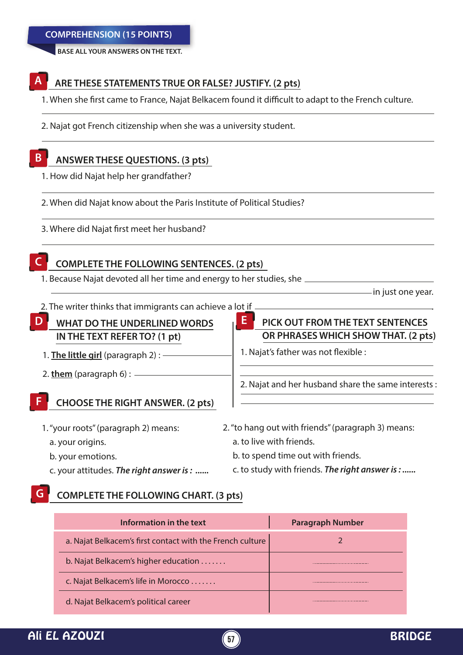**BASE ALL YOUR ANSWERS ON THE TEXT.**

### **ARE THESE STATEMENTS TRUE OR FALSE? JUSTIFY. (2 pts) A**

1. When she first came to France, Najat Belkacem found it difficult to adapt to the French culture.

2. Najat got French citizenship when she was a university student.

#### **ANSWER THESE QUESTIONS. (3 pts) B**

- 1. How did Najat help her grandfather?
- 2. When did Najat know about the Paris Institute of Political Studies?
- 3. Where did Najat first meet her husband?

## **C**

### **COMPLETE THE FOLLOWING SENTENCES. (2 pts)**

1. Because Najat devoted all her time and energy to her studies, she

 $-$  in just one year.

2. The writer thinks that immigrants can achieve a lot if .

# **WHAT DO THE UNDERLINED WORDS D E IN THE TEXT REFER TO? (1 pt)**

- 1. **The little girl** (paragraph 2) :
- 2. **them** (paragraph 6) :

#### **CHOOSE THE RIGHT ANSWER. (2 pts) F**

- 1. "your roots" (paragraph 2) means:
	- a. your origins.
	- b. your emotions.
	- c. your attitudes. *The right answer is : ......*

# 2. Najat and her husband share the same interests :

**PICK OUT FROM THE TEXT SENTENCES OR PHRASES WHICH SHOW THAT. (2 pts)**

- 2. "to hang out with friends" (paragraph 3) means: a. to live with friends.
	- b. to spend time out with friends.

1. Najat's father was not flexible :

c. to study with friends. *The right answer is : ......*

#### **COMPLETE THE FOLLOWING CHART. (3 pts) G**

| Information in the text                                   | <b>Paragraph Number</b> |
|-----------------------------------------------------------|-------------------------|
| a. Najat Belkacem's first contact with the French culture |                         |
| b. Najat Belkacem's higher education                      |                         |
| c. Najat Belkacem's life in Morocco                       |                         |
| d. Najat Belkacem's political career                      |                         |